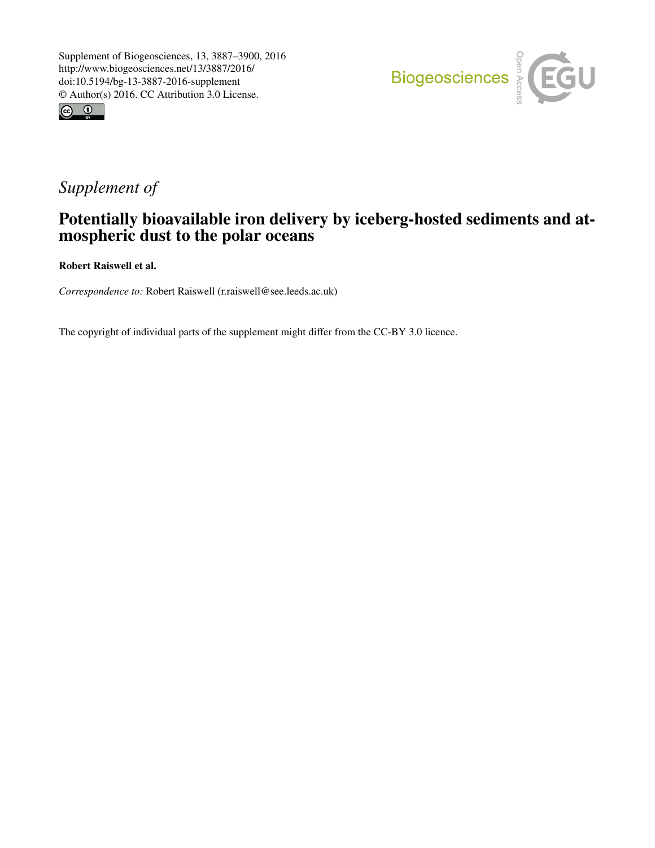



# *Supplement of*

## Potentially bioavailable iron delivery by iceberg-hosted sediments and atmospheric dust to the polar oceans

Robert Raiswell et al.

*Correspondence to:* Robert Raiswell (r.raiswell@see.leeds.ac.uk)

The copyright of individual parts of the supplement might differ from the CC-BY 3.0 licence.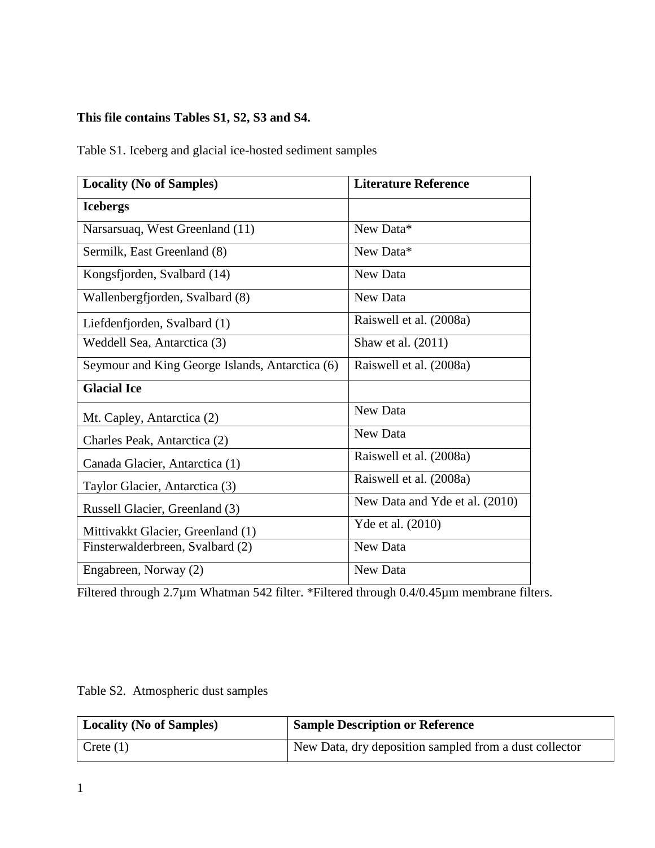### **This file contains Tables S1, S2, S3 and S4.**

Table S1. Iceberg and glacial ice-hosted sediment samples

| <b>Locality (No of Samples)</b>                 | <b>Literature Reference</b>    |  |  |
|-------------------------------------------------|--------------------------------|--|--|
| <b>Icebergs</b>                                 |                                |  |  |
| Narsarsuaq, West Greenland (11)                 | New Data*                      |  |  |
| Sermilk, East Greenland (8)                     | New Data*                      |  |  |
| Kongsfjorden, Svalbard (14)                     | New Data                       |  |  |
| Wallenbergfjorden, Svalbard (8)                 | New Data                       |  |  |
| Liefdenfjorden, Svalbard (1)                    | Raiswell et al. (2008a)        |  |  |
| Weddell Sea, Antarctica (3)                     | Shaw et al. (2011)             |  |  |
| Seymour and King George Islands, Antarctica (6) | Raiswell et al. (2008a)        |  |  |
| <b>Glacial Ice</b>                              |                                |  |  |
| Mt. Capley, Antarctica (2)                      | New Data                       |  |  |
| Charles Peak, Antarctica (2)                    | New Data                       |  |  |
| Canada Glacier, Antarctica (1)                  | Raiswell et al. (2008a)        |  |  |
| Taylor Glacier, Antarctica (3)                  | Raiswell et al. (2008a)        |  |  |
| Russell Glacier, Greenland (3)                  | New Data and Yde et al. (2010) |  |  |
| Mittivakkt Glacier, Greenland (1)               | Yde et al. (2010)              |  |  |
| Finsterwalderbreen, Svalbard (2)                | New Data                       |  |  |
| Engabreen, Norway (2)                           | New Data                       |  |  |

Filtered through 2.7µm Whatman 542 filter. \*Filtered through 0.4/0.45µm membrane filters.

|  | Table S2. Atmospheric dust samples |  |
|--|------------------------------------|--|
|--|------------------------------------|--|

| Locality (No of Samples) | <b>Sample Description or Reference</b>                 |
|--------------------------|--------------------------------------------------------|
| $\Gamma$ Crete (1)       | New Data, dry deposition sampled from a dust collector |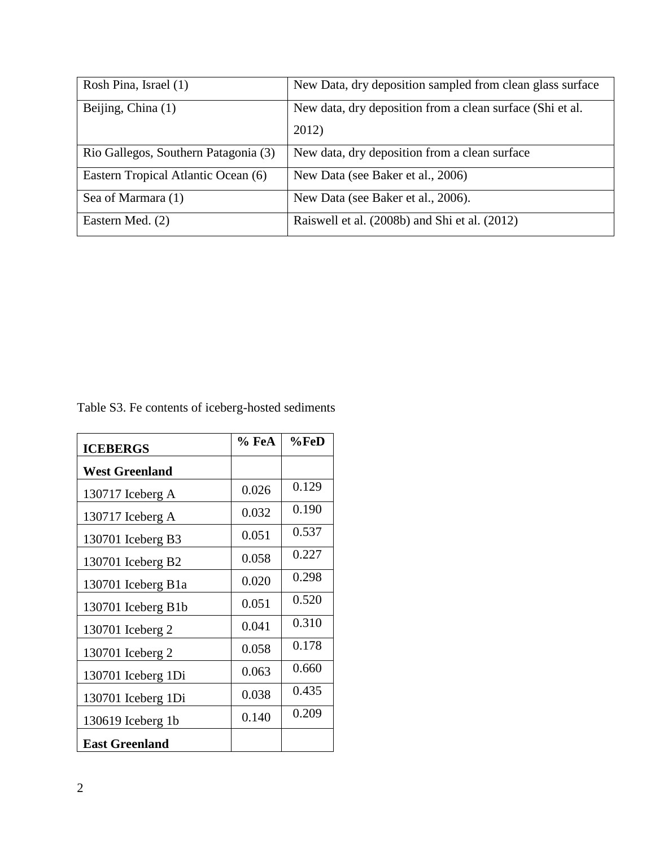| Rosh Pina, Israel (1)                | New Data, dry deposition sampled from clean glass surface |
|--------------------------------------|-----------------------------------------------------------|
| Beijing, China (1)                   | New data, dry deposition from a clean surface (Shi et al. |
|                                      | 2012)                                                     |
| Rio Gallegos, Southern Patagonia (3) | New data, dry deposition from a clean surface             |
| Eastern Tropical Atlantic Ocean (6)  | New Data (see Baker et al., 2006)                         |
| Sea of Marmara (1)                   | New Data (see Baker et al., 2006).                        |
| Eastern Med. (2)                     | Raiswell et al. (2008b) and Shi et al. (2012)             |

Table S3. Fe contents of iceberg-hosted sediments

| <b>ICEBERGS</b>       | % FeA | %FeD  |
|-----------------------|-------|-------|
| <b>West Greenland</b> |       |       |
| 130717 Iceberg A      | 0.026 | 0.129 |
| 130717 Iceberg A      | 0.032 | 0.190 |
| 130701 Iceberg B3     | 0.051 | 0.537 |
| 130701 Iceberg B2     | 0.058 | 0.227 |
| 130701 Iceberg B1a    | 0.020 | 0.298 |
| 130701 Iceberg B1b    | 0.051 | 0.520 |
| 130701 Iceberg 2      | 0.041 | 0.310 |
| 130701 Iceberg 2      | 0.058 | 0.178 |
| 130701 Iceberg 1Di    | 0.063 | 0.660 |
| 130701 Iceberg 1Di    | 0.038 | 0.435 |
| 130619 Iceberg 1b     | 0.140 | 0.209 |
| <b>East Greenland</b> |       |       |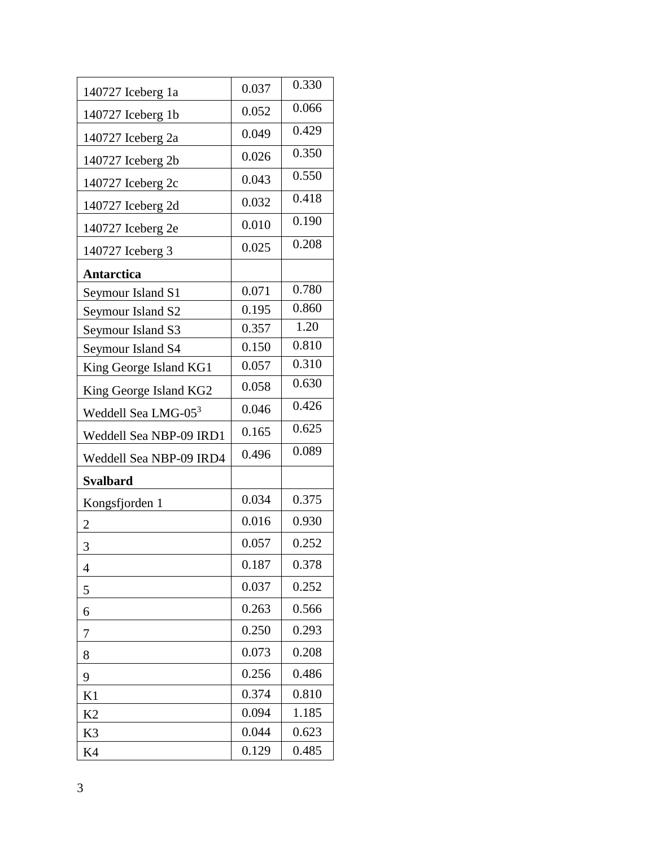| 140727 Iceberg 1a               | 0.037 | 0.330 |
|---------------------------------|-------|-------|
| 140727 Iceberg 1b               | 0.052 | 0.066 |
| 140727 Iceberg 2a               | 0.049 | 0.429 |
| 140727 Iceberg 2b               | 0.026 | 0.350 |
| 140727 Iceberg 2c               | 0.043 | 0.550 |
| 140727 Iceberg 2d               | 0.032 | 0.418 |
| 140727 Iceberg 2e               | 0.010 | 0.190 |
| 140727 Iceberg 3                | 0.025 | 0.208 |
| Antarctica                      |       |       |
| Seymour Island S1               | 0.071 | 0.780 |
| Seymour Island S2               | 0.195 | 0.860 |
| Seymour Island S3               | 0.357 | 1.20  |
| Seymour Island S4               | 0.150 | 0.810 |
| King George Island KG1          | 0.057 | 0.310 |
| King George Island KG2          | 0.058 | 0.630 |
| Weddell Sea LMG-05 <sup>3</sup> | 0.046 | 0.426 |
| Weddell Sea NBP-09 IRD1         | 0.165 | 0.625 |
| Weddell Sea NBP-09 IRD4         | 0.496 | 0.089 |
| <b>Svalbard</b>                 |       |       |
| Kongsfjorden 1                  | 0.034 | 0.375 |
| $\overline{2}$                  | 0.016 | 0.930 |
| 3                               | 0.057 | 0.252 |
| 4                               | 0.187 | 0.378 |
| 5                               | 0.037 | 0.252 |
| 6                               | 0.263 | 0.566 |
| 7                               | 0.250 | 0.293 |
| 8                               | 0.073 | 0.208 |
| 9                               | 0.256 | 0.486 |
| K1                              | 0.374 | 0.810 |
| K <sub>2</sub>                  | 0.094 | 1.185 |
| K3                              | 0.044 | 0.623 |
| K4                              | 0.129 | 0.485 |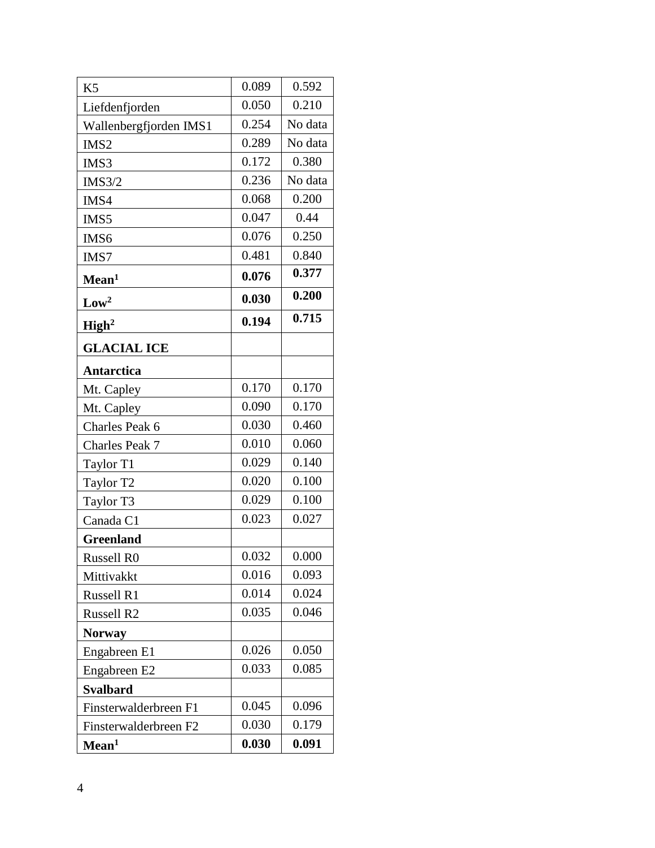| K <sub>5</sub>         | 0.089 | 0.592   |
|------------------------|-------|---------|
| Liefdenfjorden         | 0.050 | 0.210   |
| Wallenbergfjorden IMS1 | 0.254 | No data |
| IMS <sub>2</sub>       | 0.289 | No data |
| IMS3                   | 0.172 | 0.380   |
| <b>IMS3/2</b>          | 0.236 | No data |
| IMS4                   | 0.068 | 0.200   |
| IMS5                   | 0.047 | 0.44    |
| IMS6                   | 0.076 | 0.250   |
| IMS7                   | 0.481 | 0.840   |
| Mean <sup>1</sup>      | 0.076 | 0.377   |
| Low <sup>2</sup>       | 0.030 | 0.200   |
| High <sup>2</sup>      | 0.194 | 0.715   |
| <b>GLACIAL ICE</b>     |       |         |
| <b>Antarctica</b>      |       |         |
| Mt. Capley             | 0.170 | 0.170   |
| Mt. Capley             | 0.090 | 0.170   |
| Charles Peak 6         | 0.030 | 0.460   |
| Charles Peak 7         | 0.010 | 0.060   |
| Taylor T1              | 0.029 | 0.140   |
| Taylor T2              | 0.020 | 0.100   |
| Taylor T3              | 0.029 | 0.100   |
| Canada C1              | 0.023 | 0.027   |
| <b>Greenland</b>       |       |         |
| Russell R0             | 0.032 | 0.000   |
| Mittivakkt             | 0.016 | 0.093   |
| <b>Russell R1</b>      | 0.014 | 0.024   |
| <b>Russell R2</b>      | 0.035 | 0.046   |
| <b>Norway</b>          |       |         |
| Engabreen E1           | 0.026 | 0.050   |
| Engabreen E2           | 0.033 | 0.085   |
| <b>Svalbard</b>        |       |         |
| Finsterwalderbreen F1  | 0.045 | 0.096   |
| Finsterwalderbreen F2  | 0.030 | 0.179   |
| Mean <sup>1</sup>      | 0.030 | 0.091   |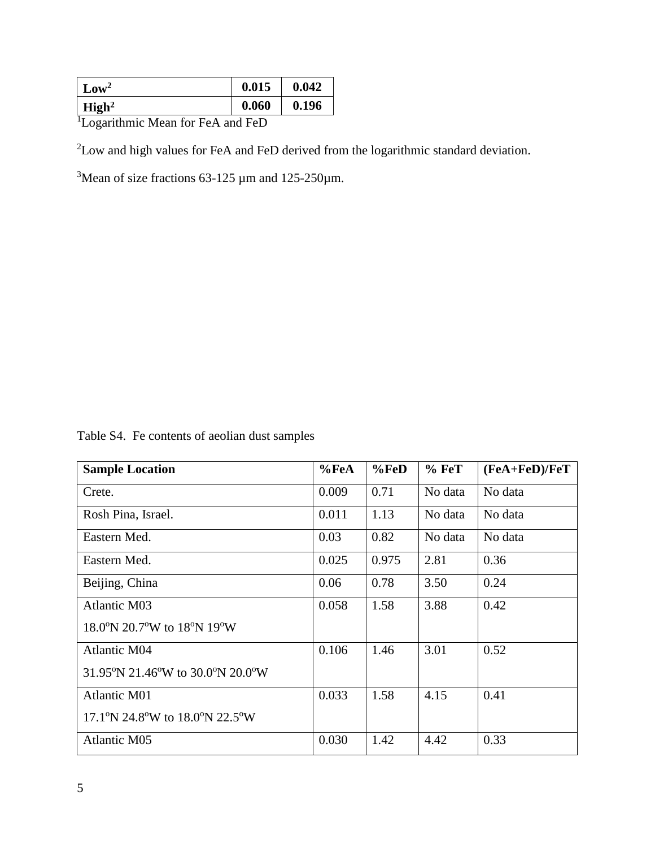| $\sim$ Low <sup>2</sup>                    |  |  | 0.015 | 0.042 |
|--------------------------------------------|--|--|-------|-------|
| $\overline{\phantom{a}}$ High <sup>2</sup> |  |  | 0.060 | 0.196 |
| $\mathbf{r}$<br>$\cdot$                    |  |  |       |       |

<sup>1</sup>Logarithmic Mean for FeA and FeD

<sup>2</sup>Low and high values for FeA and FeD derived from the logarithmic standard deviation.

<sup>3</sup>Mean of size fractions 63-125  $\mu$ m and 125-250 $\mu$ m.

Table S4. Fe contents of aeolian dust samples

| <b>Sample Location</b>                         | %FeA  | %FeD  | $%$ FeT | $(FeA + FeD)/FeT$ |
|------------------------------------------------|-------|-------|---------|-------------------|
| Crete.                                         | 0.009 | 0.71  | No data | No data           |
| Rosh Pina, Israel.                             | 0.011 | 1.13  | No data | No data           |
| Eastern Med.                                   | 0.03  | 0.82  | No data | No data           |
| Eastern Med.                                   | 0.025 | 0.975 | 2.81    | 0.36              |
| Beijing, China                                 | 0.06  | 0.78  | 3.50    | 0.24              |
| <b>Atlantic M03</b>                            | 0.058 | 1.58  | 3.88    | 0.42              |
| $18.0^{\circ}$ N 20.7°W to $18^{\circ}$ N 19°W |       |       |         |                   |
| <b>Atlantic M04</b>                            | 0.106 | 1.46  | 3.01    | 0.52              |
| 31.95°N 21.46°W to 30.0°N 20.0°W               |       |       |         |                   |
| <b>Atlantic M01</b>                            | 0.033 | 1.58  | 4.15    | 0.41              |
| $17.1\text{°N}$ 24.8°W to 18.0°N 22.5°W        |       |       |         |                   |
| <b>Atlantic M05</b>                            | 0.030 | 1.42  | 4.42    | 0.33              |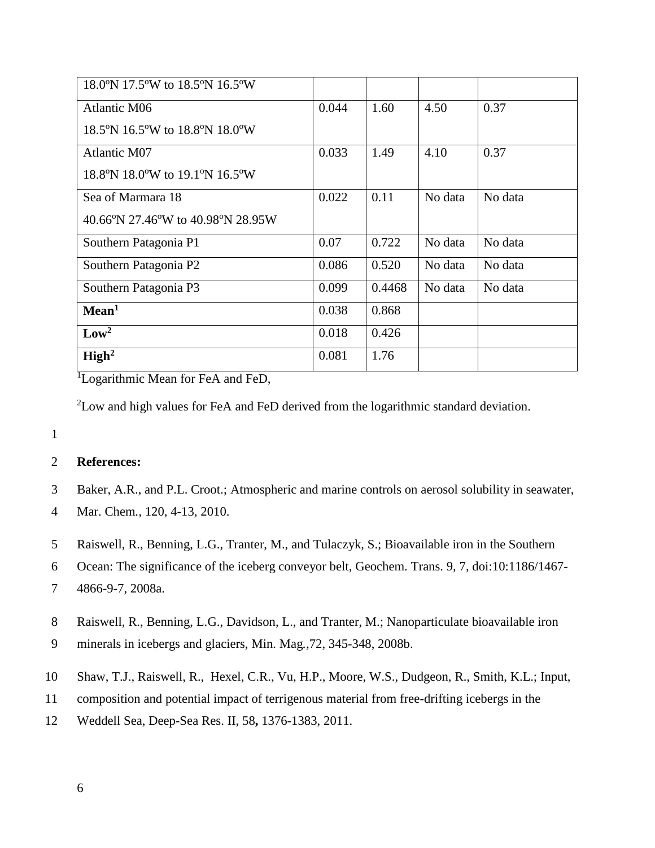| 18.0°N 17.5°W to 18.5°N 16.5°W    |       |        |         |         |
|-----------------------------------|-------|--------|---------|---------|
| Atlantic M06                      | 0.044 | 1.60   | 4.50    | 0.37    |
| 18.5°N 16.5°W to 18.8°N 18.0°W    |       |        |         |         |
| Atlantic M07                      | 0.033 | 1.49   | 4.10    | 0.37    |
| 18.8°N 18.0°W to 19.1°N 16.5°W    |       |        |         |         |
| Sea of Marmara 18                 | 0.022 | 0.11   | No data | No data |
| 40.66°N 27.46°W to 40.98°N 28.95W |       |        |         |         |
| Southern Patagonia P1             | 0.07  | 0.722  | No data | No data |
| Southern Patagonia P2             | 0.086 | 0.520  | No data | No data |
| Southern Patagonia P3             | 0.099 | 0.4468 | No data | No data |
| Mean <sup>1</sup>                 | 0.038 | 0.868  |         |         |
| Low <sup>2</sup>                  | 0.018 | 0.426  |         |         |
| High <sup>2</sup>                 | 0.081 | 1.76   |         |         |

<sup>1</sup>Logarithmic Mean for FeA and FeD,

<sup>2</sup>Low and high values for FeA and FeD derived from the logarithmic standard deviation.

#### 1

### 2 **References:**

- 3 Baker, A.R., and P.L. Croot.; Atmospheric and marine controls on aerosol solubility in seawater,
- 4 Mar. Chem*.,* 120, 4-13, 2010.
- 5 Raiswell, R., Benning, L.G., Tranter, M., and Tulaczyk, S.; Bioavailable iron in the Southern
- 6 Ocean: The significance of the iceberg conveyor belt, Geochem. Trans. 9*,* 7, doi:10:1186/1467-
- 7 4866-9-7, 2008a.
- 8 Raiswell, R., Benning, L.G., Davidson, L., and Tranter, M.; Nanoparticulate bioavailable iron
- 9 minerals in icebergs and glaciers, Min. Mag*.,*72, 345-348, 2008b.
- 10 Shaw, T.J., Raiswell, R., Hexel, C.R., Vu, H.P., Moore, W.S., Dudgeon, R., Smith, K.L.; Input,
- 11 composition and potential impact of terrigenous material from free-drifting icebergs in the
- 12 Weddell Sea, Deep-Sea Res. II, 58**,** 1376-1383, 2011.